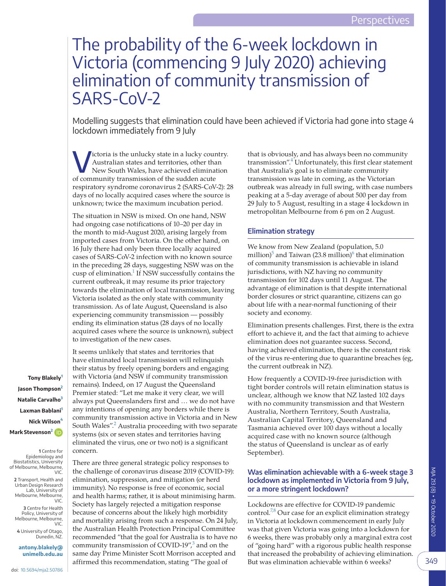# The probability of the 6-week lockdown in Victoria (commencing 9 July 2020) achieving elimination of community transmission of SARS-CoV-2

Modelling suggests that elimination could have been achieved if Victoria had gone into stage 4 lockdown immediately from 9 July

Victoria is the unlucky state in a lucky country. Australian states and territories, other than New South Wales, have achieved elimination of community transmission of the sudden acute respiratory syndrome coronavirus 2 (SARS-CoV-2): 28 days of no locally acquired cases where the source is unknown; twice the maximum incubation period.

The situation in NSW is mixed. On one hand, NSW had ongoing case notifications of 10–20 per day in the month to mid-August 2020, arising largely from imported cases from Victoria. On the other hand, on 16 July there had only been three locally acquired cases of SARS-CoV-2 infection with no known source in the preceding 28 days, suggesting NSW was on the cusp of elimination.<sup>1</sup> If NSW successfully contains the current outbreak, it may resume its prior trajectory towards the elimination of local transmission, leaving Victoria isolated as the only state with community transmission. As of late August, Queensland is also experiencing community transmission — possibly ending its elimination status (28 days of no locally acquired cases where the source is unknown), subject to investigation of the new cases.

It seems unlikely that states and territories that have eliminated local transmission will relinquish their status by freely opening borders and engaging with Victoria (and NSW if community transmission remains). Indeed, on 17 August the Queensland Premier stated: "Let me make it very clear, we will always put Queenslanders first and … we do not have any intentions of opening any borders while there is community transmission active in Victoria and in New South Wales".<sup>[2](#page-3-1)</sup> Australia proceeding with two separate systems (six or seven states and territories having eliminated the virus, one or two not) is a significant

There are three general strategic policy responses to the challenge of coronavirus disease 2019 (COVID-19): elimination, suppression, and mitigation (or herd immunity). No response is free of economic, social and health harms; rather, it is about minimising harm. Society has largely rejected a mitigation response because of concerns about the likely high morbidity and mortality arising from such a response. On 24 July, the Australian Health Protection Principal Committee recommended "that the goal for Australia is to have no community transmission of COVID-19",<sup>[3](#page-3-2)</sup> and on the same day Prime Minister Scott Morrison accepted and affirmed this recommendation, stating "The goal of

**Tony Blakely[1](#page-0-0) Jason Thompson[2](#page-0-1) Natalie Carvalho[3](#page-0-2) Laxman Bablani[1](#page-0-0) Nick Wilson[4](#page-0-3) Mark Stevenson[2](#page-0-1)**

**1** Centre for Epidemiology and Biostatistics, University of Melbourne, Melbourne, VIC.

<span id="page-0-0"></span>concern.

<span id="page-0-1"></span>**2** Transport, Health and Urban Design Research Lab, University of Melbourne, Melbourne, VIC.

<span id="page-0-2"></span>**3** Centre for Health Policy, University of Melbourne, Melbourne,

<span id="page-0-3"></span>VIC. **4** University of Otago, Dunedin, NZ.

**[antony.blakely@](mailto:antony.blakely@unimelb.edu.au) [unimelb.edu.au](mailto:antony.blakely@unimelb.edu.au)** that is obviously, and has always been no community transmission".<sup>4</sup> Unfortunately, this first clear statement that Australia's goal is to eliminate community transmission was late in coming, as the Victorian outbreak was already in full swing, with case numbers peaking at a 5-day average of about 500 per day from 29 July to 5 August, resulting in a stage 4 lockdown in metropolitan Melbourne from 6 pm on 2 August.

## **Elimination strategy**

We know from New Zealand (population, 5.0 million)<sup>[5](#page-3-4)</sup> and Taiwan (23.8 million)<sup>[6](#page-3-5)</sup> that elimination of community transmission is achievable in island jurisdictions, with NZ having no community transmission for 102 days until 11 August. The advantage of elimination is that despite international border closures or strict quarantine, citizens can go about life with a near-normal functioning of their society and economy.

Elimination presents challenges. First, there is the extra effort to achieve it, and the fact that aiming to achieve elimination does not guarantee success. Second, having achieved elimination, there is the constant risk of the virus re-entering due to quarantine breaches (eg, the current outbreak in NZ).

How frequently a COVID-19-free jurisdiction with tight border controls will retain elimination status is unclear, although we know that NZ lasted 102 days with no community transmission and that Western Australia, Northern Territory, South Australia, Australian Capital Territory, Queensland and Tasmania achieved over 100 days without a locally acquired case with no known source (although the status of Queensland is unclear as of early September).

## **Was elimination achievable with a 6-week stage 3 lockdown as implemented in Victoria from 9 July, or a more stringent lockdown?**

Lockdowns are effective for COVID-19 pandemic control.<sup>7,8</sup> Our case for an explicit elimination strategy in Victoria at lockdown commencement in early July was that given Victoria was going into a lockdown for 6 weeks, there was probably only a marginal extra cost of "going hard" with a rigorous public health response that increased the probability of achieving elimination. But was elimination achievable within 6 weeks?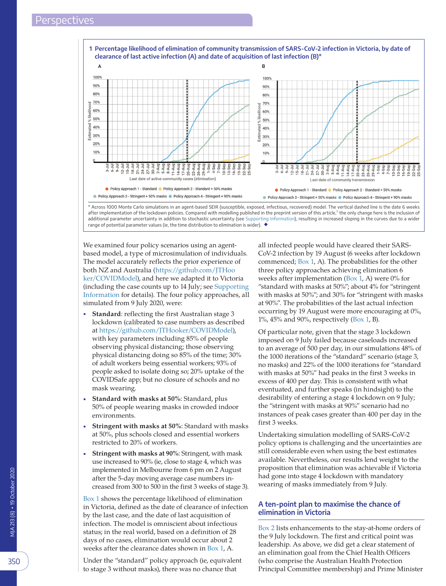<span id="page-1-0"></span>



after implementation of the lockdown policies. Compared with modelling published in the preprint version of this article, $^{\circ}$  the only change here is the inclusion of additional parameter uncertainty in addition to stochastic uncertainty (see [Supporting Information](#page-2-0)), resulting in increased sloping in the curves due to a wider range of potential parameter values (ie, the time distribution to elimination is wider).  $\blacklozenge$ 

We examined four policy scenarios using an agentbased model, a type of microsimulation of individuals. The model accurately reflects the prior experience of both NZ and Australia ([https://github.com/JTHoo](https://github.com/JTHooker/COVIDModel) [ker/COVIDModel](https://github.com/JTHooker/COVIDModel)), and here we adapted it to Victoria (including the case counts up to 14 July; see [Supporting](#page-2-0)  [Information](#page-2-0) for details). The four policy approaches, all simulated from 9 July 2020, were:

- **Standard**: reflecting the first Australian stage 3 lockdown (calibrated to case numbers as described at [https://github.com/JTHooker/COVIDModel\)](https://github.com/JTHooker/COVIDModel), with key parameters including 85% of people observing physical distancing; those observing physical distancing doing so 85% of the time; 30% of adult workers being essential workers; 93% of people asked to isolate doing so; 20% uptake of the COVIDSafe app; but no closure of schools and no mask wearing.
- **Standard with masks at 50%**: Standard, plus 50% of people wearing masks in crowded indoor environments.
- **Stringent with masks at 50%**: Standard with masks at 50%, plus schools closed and essential workers restricted to 20% of workers.
- **Stringent with masks at 90%**: Stringent, with mask use increased to 90% (ie, close to stage 4, which was implemented in Melbourne from 6 pm on 2 August after the 5-day moving average case numbers increased from 300 to 500 in the first 3 weeks of stage 3).

[Box 1](#page-1-0) shows the percentage likelihood of elimination in Victoria, defined as the date of clearance of infection by the last case, and the date of last acquisition of infection. The model is omniscient about infectious status; in the real world, based on a definition of 28 days of no cases, elimination would occur about 2 weeks after the clearance dates shown in [Box 1](#page-1-0), A.

Under the "standard" policy approach (ie, equivalent to stage 3 without masks), there was no chance that

all infected people would have cleared their SARS-CoV-2 infection by 19 August (6 weeks after lockdown commenced; [Box 1](#page-1-0), A). The probabilities for the other three policy approaches achieving elimination 6 weeks after implementation [\(Box 1](#page-1-0), A) were  $0\%$  for "standard with masks at 50%"; about 4% for "stringent with masks at 50%"; and 30% for "stringent with masks at 90%". The probabilities of the last actual infection occurring by 19 August were more encouraging at 0%, 1%, 45% and 90%, respectively [\(Box 1,](#page-1-0) B).

Of particular note, given that the stage 3 lockdown imposed on 9 July failed because caseloads increased to an average of 500 per day, in our simulations 48% of the 1000 iterations of the "standard" scenario (stage 3, no masks) and 22% of the 1000 iterations for "standard with masks at 50%" had peaks in the first 3 weeks in excess of 400 per day. This is consistent with what eventuated, and further speaks (in hindsight) to the desirability of entering a stage 4 lockdown on 9 July; the "stringent with masks at 90%" scenario had no instances of peak cases greater than 400 per day in the first 3 weeks.

Undertaking simulation modelling of SARS-CoV-2 policy options is challenging and the uncertainties are still considerable even when using the best estimates available. Nevertheless, our results lend weight to the proposition that elimination was achievable if Victoria had gone into stage 4 lockdown with mandatory wearing of masks immediately from 9 July.

## **A ten-point plan to maximise the chance of elimination in Victoria**

[Box 2](#page-2-1) lists enhancements to the stay-at-home orders of the 9 July lockdown. The first and critical point was leadership. As above, we did get a clear statement of an elimination goal from the Chief Health Officers (who comprise the Australian Health Protection Principal Committee membership) and Prime Minister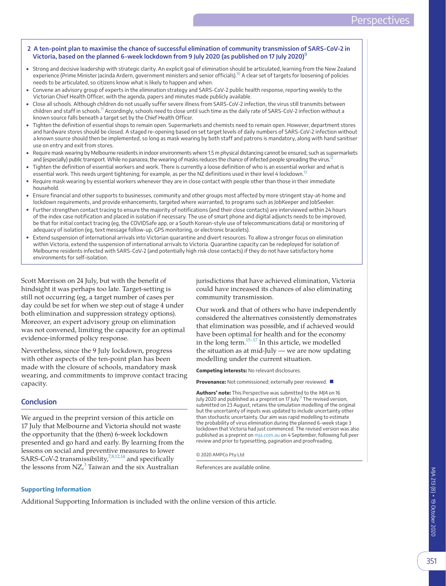### <span id="page-2-1"></span>**2 A ten-point plan to maximise the chance of successful elimination of community transmission of SARS-CoV-2 in Victoria, based on the planned 6-week lockdown from 9 July 2020 (as published on 17 July 2020)[9](#page-3-7)**

- Strong and decisive leadership with strategic clarity. An explicit goal of elimination should be articulated, learning from the New Zealand experience (Prime Minister Jacinda Ardern, government ministers and senior officials).<sup>10</sup> A clear set of targets for loosening of policies needs to be articulated, so citizens know what is likely to happen and when.
- Convene an advisory group of experts in the elimination strategy and SARS-CoV-2 public health response, reporting weekly to the Victorian Chief Health Officer, with the agenda, papers and minutes made publicly available.
- Close all schools. Although children do not usually suffer severe illness from SARS-CoV-2 infection, the virus still transmits between children and staff in schools.<sup>[11](#page-3-10)</sup> Accordingly, schools need to close until such time as the daily rate of SARS-CoV-2 infection without a known source falls beneath a target set by the Chief Health Officer.
- Tighten the definition of essential shops to remain open. Supermarkets and chemists need to remain open. However, department stores and hardware stores should be closed. A staged re-opening based on set target levels of daily numbers of SARS-CoV-2 infection without a known source should then be implemented, so long as mask wearing by both staff and patrons is mandatory, along with hand sanitiser use on entry and exit from stores.
- Require mask wearing by Melbourne residents in indoor environments where 1.5 m physical distancing cannot be ensured, such as supermarkets and (especially) public transport. While no panacea, the wearing of masks reduces the chance of infected people spreading the virus.<sup>12</sup>
- Tighten the definition of essential workers and work. There is currently a loose definition of who is an essential worker and what is essential work. This needs urgent tightening; for example, as per the NZ definitions used in their level 4 lockdown.<sup>[13](#page-3-12)</sup>
- Require mask wearing by essential workers whenever they are in close contact with people other than those in their immediate household.
- Ensure financial and other supports to businesses, community and other groups most affected by more stringent stay-at-home and lockdown requirements, and provide enhancements, targeted where warranted, to programs such as JobKeeper and JobSeeker.
- Further strengthen contact tracing to ensure the majority of notifications (and their close contacts) are interviewed within 24 hours of the index case notification and placed in isolation if necessary. The use of smart phone and digital adjuncts needs to be improved, be that for initial contact tracing (eg, the COVIDSafe app, or a South Korean-style use of telecommunications data) or monitoring of adequacy of isolation (eg, text message follow-up, GPS monitoring, or electronic bracelets).
- Extend suspension of international arrivals into Victorian quarantine and divert resources. To allow a stronger focus on elimination within Victoria, extend the suspension of international arrivals to Victoria. Quarantine capacity can be redeployed for isolation of Melbourne residents infected with SARS-CoV-2 (and potentially high risk close contacts) if they do not have satisfactory home environments for self-isolation.

Scott Morrison on 24 July, but with the benefit of hindsight it was perhaps too late. Target-setting is still not occurring (eg, a target number of cases per day could be set for when we step out of stage 4 under both elimination and suppression strategy options). Moreover, an expert advisory group on elimination was not convened, limiting the capacity for an optimal evidence-informed policy response.

Nevertheless, since the 9 July lockdown, progress with other aspects of the ten-point plan has been made with the closure of schools, mandatory mask wearing, and commitments to improve contact tracing capacity.

## **Conclusion**

We argued in the preprint version of this article on 17 July that Melbourne and Victoria should not waste the opportunity that the (then) 6-week lockdown presented and go hard and early. By learning from the lessons on social and preventive measures to lower SARS-CoV-2 transmissibility,<sup>[7,8,12,14](#page-3-6)</sup> and specifically the lessons from  $NZ^3$  $NZ^3$  Taiwan and the six Australian

jurisdictions that have achieved elimination, Victoria could have increased its chances of also eliminating community transmission.

Our work and that of others who have independently considered the alternatives consistently demonstrates that elimination was possible, and if achieved would have been optimal for health and for the economy in the long term. $^{15-17}$  In this article, we modelled the situation as at mid-July — we are now updating modelling under the current situation.

**Competing interests:** No relevant disclosures.

**Provenance:** Not commissioned; externally peer reviewed. ■

**Authors' note:** This Perspective was submitted to the MJA on 16 July 2020 and published as a preprint on 17 July.<sup>[9](#page-3-7)</sup> The revised version, submitted on 23 August, retains the simulation modelling of the original but the uncertainty of inputs was updated to include uncertainty other than stochastic uncertainty. Our aim was rapid modelling to estimate the probability of virus elimination during the planned 6-week stage 3 lockdown that Victoria had just commenced. The revised version was also published as a preprint on [mja.com.au](www.mja.com.au) on 4 September, following full peer review and prior to typesetting, pagination and proofreading.

© 2020 AMPCo Pty Ltd

References are available online.

#### <span id="page-2-0"></span>**Supporting Information**

Additional Supporting Information is included with the online version of this article.